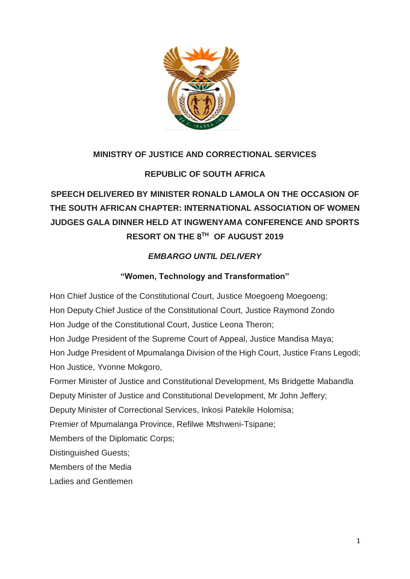

### **MINISTRY OF JUSTICE AND CORRECTIONAL SERVICES**

#### **REPUBLIC OF SOUTH AFRICA**

# **SPEECH DELIVERED BY MINISTER RONALD LAMOLA ON THE OCCASION OF THE SOUTH AFRICAN CHAPTER: INTERNATIONAL ASSOCIATION OF WOMEN JUDGES GALA DINNER HELD AT INGWENYAMA CONFERENCE AND SPORTS RESORT ON THE 8TH OF AUGUST 2019**

#### *EMBARGO UNTIL DELIVERY*

#### **"Women, Technology and Transformation"**

Hon Chief Justice of the Constitutional Court, Justice Moegoeng Moegoeng; Hon Deputy Chief Justice of the Constitutional Court, Justice Raymond Zondo Hon Judge of the Constitutional Court, Justice Leona Theron; Hon Judge President of the Supreme Court of Appeal, Justice Mandisa Maya; Hon Judge President of Mpumalanga Division of the High Court, Justice Frans Legodi; Hon Justice, Yvonne Mokgoro, Former Minister of Justice and Constitutional Development, Ms Bridgette Mabandla Deputy Minister of Justice and Constitutional Development, Mr John Jeffery; Deputy Minister of Correctional Services, Inkosi Patekile Holomisa;

Premier of Mpumalanga Province, Refilwe Mtshweni-Tsipane;

Members of the Diplomatic Corps;

Distinguished Guests;

Members of the Media

Ladies and Gentlemen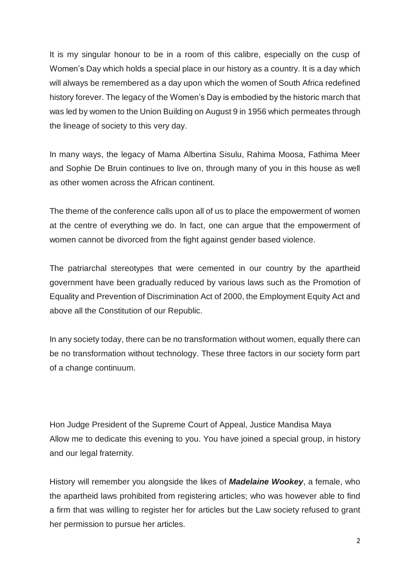It is my singular honour to be in a room of this calibre, especially on the cusp of Women's Day which holds a special place in our history as a country. It is a day which will always be remembered as a day upon which the women of South Africa redefined history forever. The legacy of the Women's Day is embodied by the historic march that was led by women to the Union Building on August 9 in 1956 which permeates through the lineage of society to this very day.

In many ways, the legacy of Mama Albertina Sisulu, Rahima Moosa, Fathima Meer and Sophie De Bruin continues to live on, through many of you in this house as well as other women across the African continent.

The theme of the conference calls upon all of us to place the empowerment of women at the centre of everything we do. In fact, one can argue that the empowerment of women cannot be divorced from the fight against gender based violence.

The patriarchal stereotypes that were cemented in our country by the apartheid government have been gradually reduced by various laws such as the Promotion of Equality and Prevention of Discrimination Act of 2000, the Employment Equity Act and above all the Constitution of our Republic.

In any society today, there can be no transformation without women, equally there can be no transformation without technology. These three factors in our society form part of a change continuum.

Hon Judge President of the Supreme Court of Appeal, Justice Mandisa Maya Allow me to dedicate this evening to you. You have joined a special group, in history and our legal fraternity.

History will remember you alongside the likes of *Madelaine Wookey*, a female, who the apartheid laws prohibited from registering articles; who was however able to find a firm that was willing to register her for articles but the Law society refused to grant her permission to pursue her articles.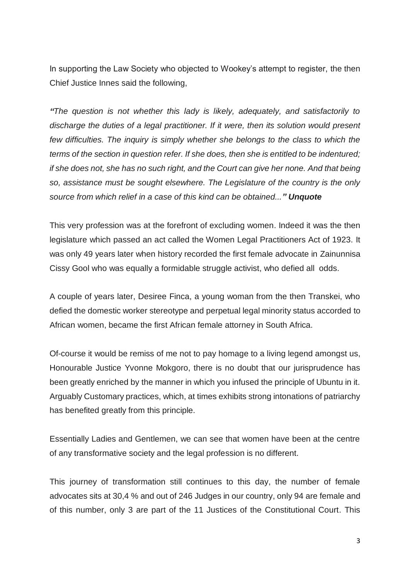In supporting the Law Society who objected to Wookey's attempt to register, the then Chief Justice Innes said the following,

*"The question is not whether this lady is likely, adequately, and satisfactorily to discharge the duties of a legal practitioner. If it were, then its solution would present few difficulties. The inquiry is simply whether she belongs to the class to which the terms of the section in question refer. If she does, then she is entitled to be indentured; if she does not, she has no such right, and the Court can give her none. And that being so, assistance must be sought elsewhere. The Legislature of the country is the only source from which relief in a case of this kind can be obtained..." Unquote*

This very profession was at the forefront of excluding women. Indeed it was the then legislature which passed an act called the Women Legal Practitioners Act of 1923. It was only 49 years later when history recorded the first female advocate in Zainunnisa Cissy Gool who was equally a formidable struggle activist, who defied all odds.

A couple of years later, Desiree Finca, a young woman from the then Transkei, who defied the domestic worker stereotype and perpetual legal minority status accorded to African women, became the first African female attorney in South Africa.

Of-course it would be remiss of me not to pay homage to a living legend amongst us, Honourable Justice Yvonne Mokgoro, there is no doubt that our jurisprudence has been greatly enriched by the manner in which you infused the principle of Ubuntu in it. Arguably Customary practices, which, at times exhibits strong intonations of patriarchy has benefited greatly from this principle.

Essentially Ladies and Gentlemen, we can see that women have been at the centre of any transformative society and the legal profession is no different.

This journey of transformation still continues to this day, the number of female advocates sits at 30,4 % and out of 246 Judges in our country, only 94 are female and of this number, only 3 are part of the 11 Justices of the Constitutional Court. This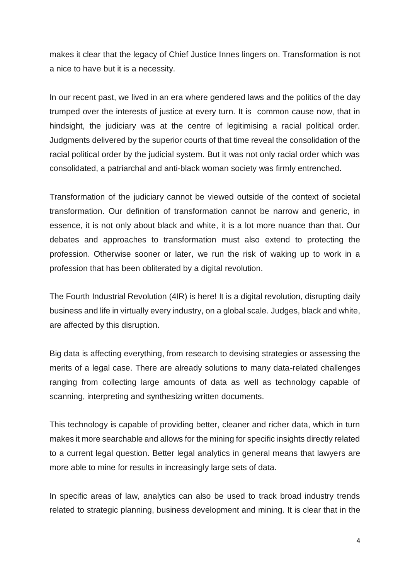makes it clear that the legacy of Chief Justice Innes lingers on. Transformation is not a nice to have but it is a necessity.

In our recent past, we lived in an era where gendered laws and the politics of the day trumped over the interests of justice at every turn. It is common cause now, that in hindsight, the judiciary was at the centre of legitimising a racial political order. Judgments delivered by the superior courts of that time reveal the consolidation of the racial political order by the judicial system. But it was not only racial order which was consolidated, a patriarchal and anti-black woman society was firmly entrenched.

Transformation of the judiciary cannot be viewed outside of the context of societal transformation. Our definition of transformation cannot be narrow and generic, in essence, it is not only about black and white, it is a lot more nuance than that. Our debates and approaches to transformation must also extend to protecting the profession. Otherwise sooner or later, we run the risk of waking up to work in a profession that has been obliterated by a digital revolution.

The Fourth Industrial Revolution (4IR) is here! It is a digital revolution, disrupting daily business and life in virtually every industry, on a global scale. Judges, black and white, are affected by this disruption.

Big data is affecting everything, from research to devising strategies or assessing the merits of a legal case. There are already solutions to many data-related challenges ranging from collecting large amounts of data as well as technology capable of scanning, interpreting and synthesizing written documents.

This technology is capable of providing better, cleaner and richer data, which in turn makes it more searchable and allows for the mining for specific insights directly related to a current legal question. Better legal analytics in general means that lawyers are more able to mine for results in increasingly large sets of data.

In specific areas of law, analytics can also be used to track broad industry trends related to strategic planning, business development and mining. It is clear that in the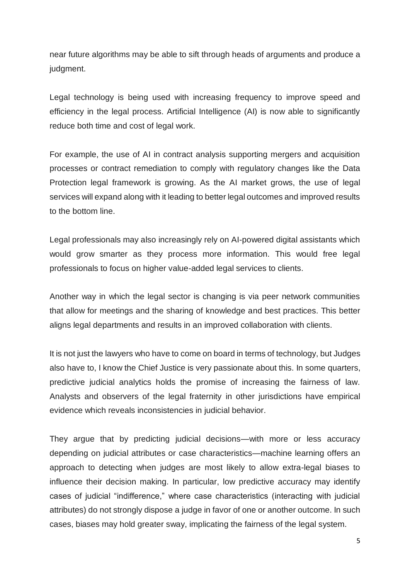near future algorithms may be able to sift through heads of arguments and produce a judgment.

Legal technology is being used with increasing frequency to improve speed and efficiency in the legal process. Artificial Intelligence (AI) is now able to significantly reduce both time and cost of legal work.

For example, the use of AI in contract analysis supporting mergers and acquisition processes or contract remediation to comply with regulatory changes like the Data Protection legal framework is growing. As the AI market grows, the use of legal services will expand along with it leading to better legal outcomes and improved results to the bottom line.

Legal professionals may also increasingly rely on AI-powered digital assistants which would grow smarter as they process more information. This would free legal professionals to focus on higher value-added legal services to clients.

Another way in which the legal sector is changing is via peer network communities that allow for meetings and the sharing of knowledge and best practices. This better aligns legal departments and results in an improved collaboration with clients.

It is not just the lawyers who have to come on board in terms of technology, but Judges also have to, I know the Chief Justice is very passionate about this. In some quarters, predictive judicial analytics holds the promise of increasing the fairness of law. Analysts and observers of the legal fraternity in other jurisdictions have empirical evidence which reveals inconsistencies in judicial behavior.

They argue that by predicting judicial decisions—with more or less accuracy depending on judicial attributes or case characteristics—machine learning offers an approach to detecting when judges are most likely to allow extra-legal biases to influence their decision making. In particular, low predictive accuracy may identify cases of judicial "indifference," where case characteristics (interacting with judicial attributes) do not strongly dispose a judge in favor of one or another outcome. In such cases, biases may hold greater sway, implicating the fairness of the legal system.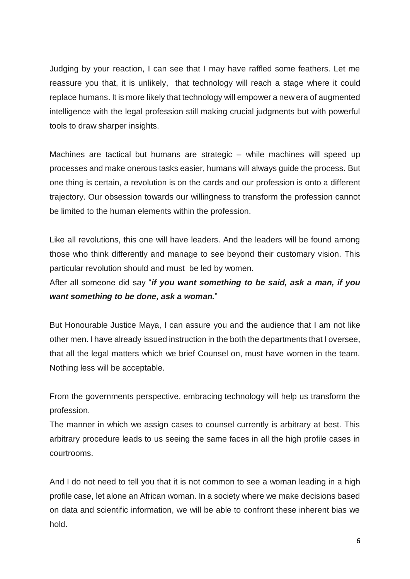Judging by your reaction, I can see that I may have raffled some feathers. Let me reassure you that, it is unlikely, that technology will reach a stage where it could replace humans. It is more likely that technology will empower a new era of augmented intelligence with the legal profession still making crucial judgments but with powerful tools to draw sharper insights.

Machines are tactical but humans are strategic – while machines will speed up processes and make onerous tasks easier, humans will always guide the process. But one thing is certain, a revolution is on the cards and our profession is onto a different trajectory. Our obsession towards our willingness to transform the profession cannot be limited to the human elements within the profession.

Like all revolutions, this one will have leaders. And the leaders will be found among those who think differently and manage to see beyond their customary vision. This particular revolution should and must be led by women.

After all someone did say "*if you want something to be said, ask a man, if you want something to be done, ask a woman.*"

But Honourable Justice Maya, I can assure you and the audience that I am not like other men. I have already issued instruction in the both the departments that I oversee, that all the legal matters which we brief Counsel on, must have women in the team. Nothing less will be acceptable.

From the governments perspective, embracing technology will help us transform the profession.

The manner in which we assign cases to counsel currently is arbitrary at best. This arbitrary procedure leads to us seeing the same faces in all the high profile cases in courtrooms.

And I do not need to tell you that it is not common to see a woman leading in a high profile case, let alone an African woman. In a society where we make decisions based on data and scientific information, we will be able to confront these inherent bias we hold.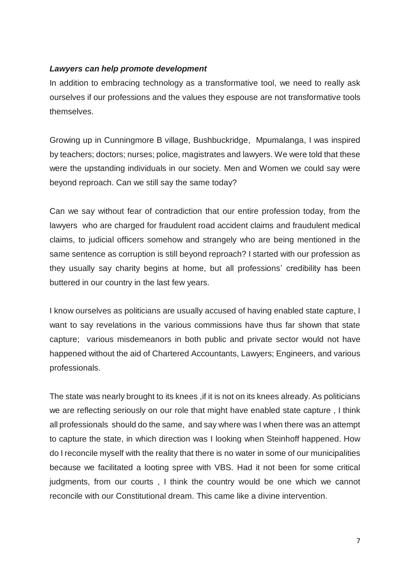#### *Lawyers can help promote development*

In addition to embracing technology as a transformative tool, we need to really ask ourselves if our professions and the values they espouse are not transformative tools themselves.

Growing up in Cunningmore B village, Bushbuckridge, Mpumalanga, I was inspired by teachers; doctors; nurses; police, magistrates and lawyers. We were told that these were the upstanding individuals in our society. Men and Women we could say were beyond reproach. Can we still say the same today?

Can we say without fear of contradiction that our entire profession today, from the lawyers who are charged for fraudulent road accident claims and fraudulent medical claims, to judicial officers somehow and strangely who are being mentioned in the same sentence as corruption is still beyond reproach? I started with our profession as they usually say charity begins at home, but all professions' credibility has been buttered in our country in the last few years.

I know ourselves as politicians are usually accused of having enabled state capture, I want to say revelations in the various commissions have thus far shown that state capture; various misdemeanors in both public and private sector would not have happened without the aid of Chartered Accountants, Lawyers; Engineers, and various professionals.

The state was nearly brought to its knees, if it is not on its knees already. As politicians we are reflecting seriously on our role that might have enabled state capture , I think all professionals should do the same, and say where was I when there was an attempt to capture the state, in which direction was I looking when Steinhoff happened. How do I reconcile myself with the reality that there is no water in some of our municipalities because we facilitated a looting spree with VBS. Had it not been for some critical judgments, from our courts , I think the country would be one which we cannot reconcile with our Constitutional dream. This came like a divine intervention.